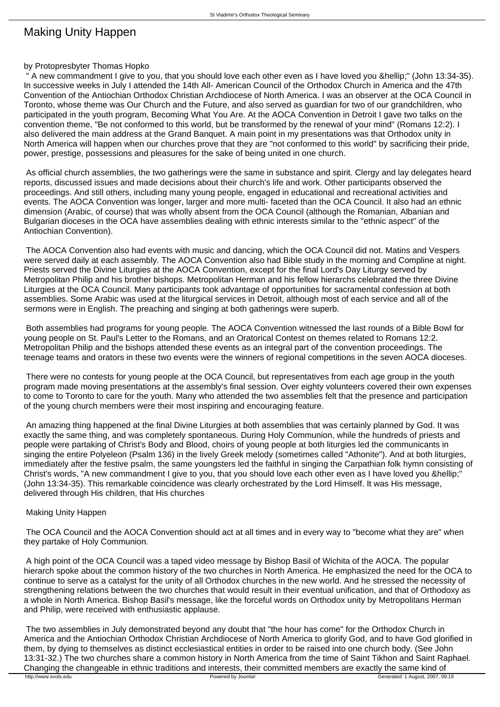## Making Unity Happen

## by Protopresbyter Thomas Hopko

A new commandment I give to you, that you should love each other even as I have loved you …" (John 13:34-35). In successive weeks in July I attended the 14th All- American Council of the Orthodox Church in America and the 47th Convention of the Antiochian Orthodox Christian Archdiocese of North America. I was an observer at the OCA Council in Toronto, whose theme was Our Church and the Future, and also served as guardian for two of our grandchildren, who participated in the youth program, Becoming What You Are. At the AOCA Convention in Detroit I gave two talks on the convention theme, "Be not conformed to this world, but be transformed by the renewal of your mind" (Romans 12:2). I also delivered the main address at the Grand Banquet. A main point in my presentations was that Orthodox unity in North America will happen when our churches prove that they are "not conformed to this world" by sacrificing their pride, power, prestige, possessions and pleasures for the sake of being united in one church.

 As official church assemblies, the two gatherings were the same in substance and spirit. Clergy and lay delegates heard reports, discussed issues and made decisions about their church's life and work. Other participants observed the proceedings. And still others, including many young people, engaged in educational and recreational activities and events. The AOCA Convention was longer, larger and more multi- faceted than the OCA Council. It also had an ethnic dimension (Arabic, of course) that was wholly absent from the OCA Council (although the Romanian, Albanian and Bulgarian dioceses in the OCA have assemblies dealing with ethnic interests similar to the "ethnic aspect" of the Antiochian Convention).

 The AOCA Convention also had events with music and dancing, which the OCA Council did not. Matins and Vespers were served daily at each assembly. The AOCA Convention also had Bible study in the morning and Compline at night. Priests served the Divine Liturgies at the AOCA Convention, except for the final Lord's Day Liturgy served by Metropolitan Philip and his brother bishops. Metropolitan Herman and his fellow hierarchs celebrated the three Divine Liturgies at the OCA Council. Many participants took advantage of opportunities for sacramental confession at both assemblies. Some Arabic was used at the liturgical services in Detroit, although most of each service and all of the sermons were in English. The preaching and singing at both gatherings were superb.

 Both assemblies had programs for young people. The AOCA Convention witnessed the last rounds of a Bible Bowl for young people on St. Paul's Letter to the Romans, and an Oratorical Contest on themes related to Romans 12:2. Metropolitan Philip and the bishops attended these events as an integral part of the convention proceedings. The teenage teams and orators in these two events were the winners of regional competitions in the seven AOCA dioceses.

 There were no contests for young people at the OCA Council, but representatives from each age group in the youth program made moving presentations at the assembly's final session. Over eighty volunteers covered their own expenses to come to Toronto to care for the youth. Many who attended the two assemblies felt that the presence and participation of the young church members were their most inspiring and encouraging feature.

 An amazing thing happened at the final Divine Liturgies at both assemblies that was certainly planned by God. It was exactly the same thing, and was completely spontaneous. During Holy Communion, while the hundreds of priests and people were partaking of Christ's Body and Blood, choirs of young people at both liturgies led the communicants in singing the entire Polyeleon (Psalm 136) in the lively Greek melody (sometimes called "Athonite"). And at both liturgies, immediately after the festive psalm, the same youngsters led the faithful in singing the Carpathian folk hymn consisting of Christ's words, "A new commandment I give to you, that you should love each other even as I have loved you &hellip:" (John 13:34-35). This remarkable coincidence was clearly orchestrated by the Lord Himself. It was His message, delivered through His children, that His churches

## Making Unity Happen

 The OCA Council and the AOCA Convention should act at all times and in every way to "become what they are" when they partake of Holy Communion.

 A high point of the OCA Council was a taped video message by Bishop Basil of Wichita of the AOCA. The popular hierarch spoke about the common history of the two churches in North America. He emphasized the need for the OCA to continue to serve as a catalyst for the unity of all Orthodox churches in the new world. And he stressed the necessity of strengthening relations between the two churches that would result in their eventual unification, and that of Orthodoxy as a whole in North America. Bishop Basil's message, like the forceful words on Orthodox unity by Metropolitans Herman and Philip, were received with enthusiastic applause.

 The two assemblies in July demonstrated beyond any doubt that "the hour has come" for the Orthodox Church in America and the Antiochian Orthodox Christian Archdiocese of North America to glorify God, and to have God glorified in them, by dying to themselves as distinct ecclesiastical entities in order to be raised into one church body. (See John 13:31-32.) The two churches share a common history in North America from the time of Saint Tikhon and Saint Raphael. Changing the changeable in ethnic traditions and interests, their committed members are exactly the same kind of<br>
Fowered by Joomla!